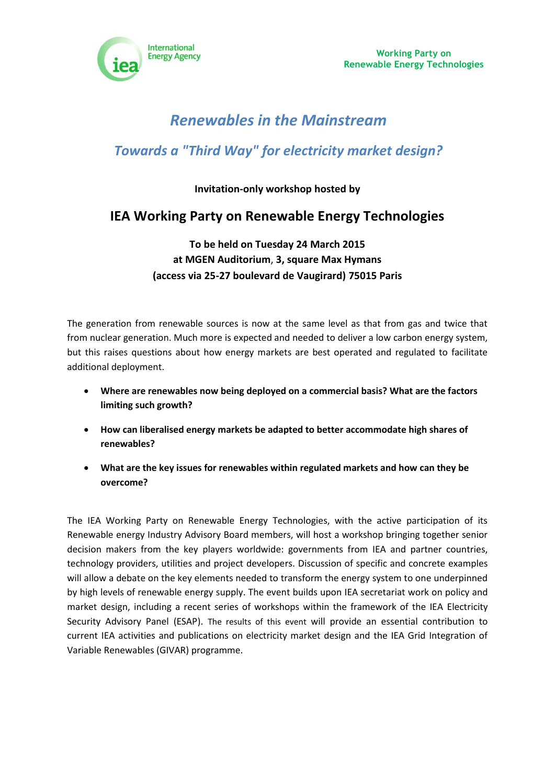

**Working Party on Renewable Energy Technologies**

# *Renewables in the Mainstream*

# *Towards a "Third Way" for electricity market design?*

### **Invitation-only workshop hosted by**

## **IEA Working Party on Renewable Energy Technologies**

## **To be held on Tuesday 24 March 2015 at MGEN Auditorium**, **3, square Max Hymans (access via 25-27 boulevard de Vaugirard) 75015 Paris**

The generation from renewable sources is now at the same level as that from gas and twice that from nuclear generation. Much more is expected and needed to deliver a low carbon energy system, but this raises questions about how energy markets are best operated and regulated to facilitate additional deployment.

- **Where are renewables now being deployed on a commercial basis? What are the factors limiting such growth?**
- **How can liberalised energy markets be adapted to better accommodate high shares of renewables?**
- **What are the key issues for renewables within regulated markets and how can they be overcome?**

The IEA Working Party on Renewable Energy Technologies, with the active participation of its Renewable energy Industry Advisory Board members, will host a workshop bringing together senior decision makers from the key players worldwide: governments from IEA and partner countries, technology providers, utilities and project developers. Discussion of specific and concrete examples will allow a debate on the key elements needed to transform the energy system to one underpinned by high levels of renewable energy supply. The event builds upon IEA secretariat work on policy and market design, including a recent series of workshops within the framework of the IEA Electricity Security Advisory Panel (ESAP). The results of this event will provide an essential contribution to current IEA activities and publications on electricity market design and the IEA Grid Integration of Variable Renewables (GIVAR) programme.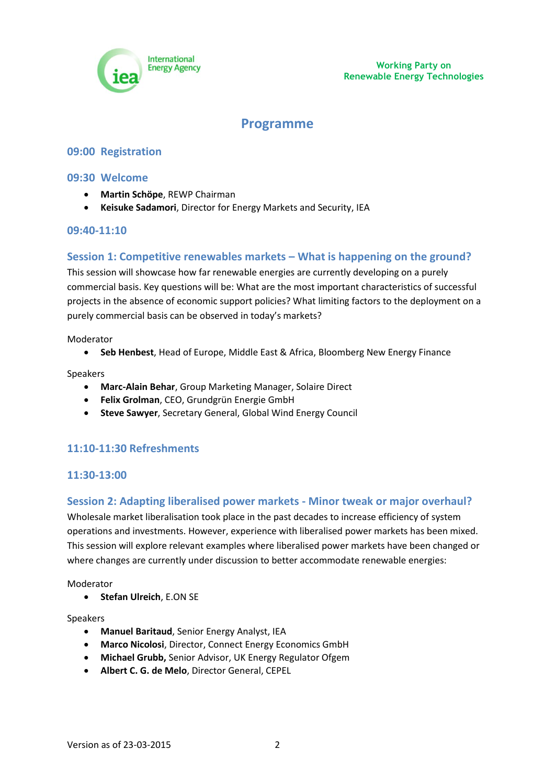

## **Programme**

#### **09:00 Registration**

#### **09:30 Welcome**

- **Martin Schöpe**, REWP Chairman
- **Keisuke Sadamori**, Director for Energy Markets and Security, IEA

#### **09:40-11:10**

#### **Session 1: Competitive renewables markets – What is happening on the ground?**

This session will showcase how far renewable energies are currently developing on a purely commercial basis. Key questions will be: What are the most important characteristics of successful projects in the absence of economic support policies? What limiting factors to the deployment on a purely commercial basis can be observed in today's markets?

Moderator

**Seb Henbest**, Head of Europe, Middle East & Africa, Bloomberg New Energy Finance

Speakers

- **Marc-Alain Behar**, Group Marketing Manager, Solaire Direct
- **Felix Grolman**, CEO, Grundgrün Energie GmbH
- **Steve Sawyer**, Secretary General, Global Wind Energy Council

### **11:10-11:30 Refreshments**

#### **11:30-13:00**

#### **Session 2: Adapting liberalised power markets - Minor tweak or major overhaul?**

Wholesale market liberalisation took place in the past decades to increase efficiency of system operations and investments. However, experience with liberalised power markets has been mixed. This session will explore relevant examples where liberalised power markets have been changed or where changes are currently under discussion to better accommodate renewable energies:

Moderator

**•** Stefan Ulreich, E.ON SE

Speakers

- **Manuel Baritaud**, Senior Energy Analyst, IEA
- **Marco Nicolosi**, Director, Connect Energy Economics GmbH
- **Michael Grubb,** Senior Advisor, UK Energy Regulator Ofgem
- **Albert C. G. de Melo**, Director General, CEPEL